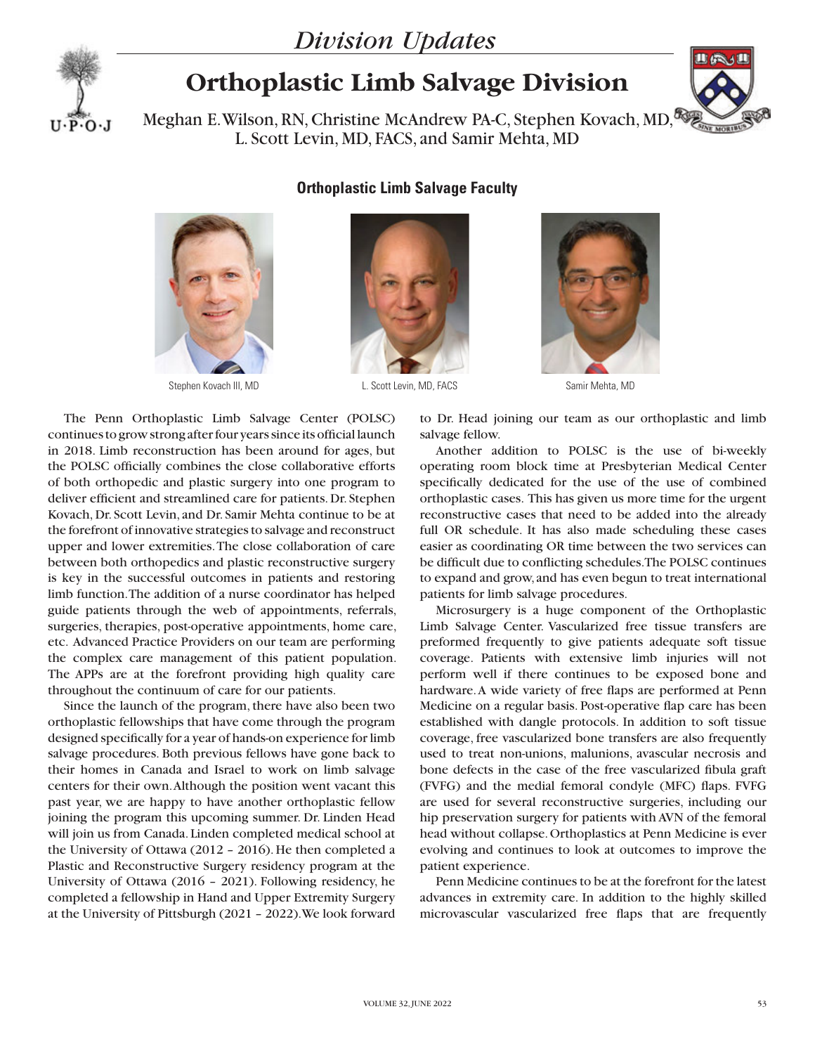## *Division Updates*



## **Orthoplastic Limb Salvage Division**



Meghan E. Wilson, RN, Christine McAndrew PA-C, Stephen Kovach, MD, L. Scott Levin, MD, FACS, and Samir Mehta, MD

## **Orthoplastic Limb Salvage Faculty**





Stephen Kovach III, MD L. Scott Levin, MD, FACS



Samir Mehta, MD

The Penn Orthoplastic Limb Salvage Center (POLSC) continues to grow strong after four years since its official launch in 2018. Limb reconstruction has been around for ages, but the POLSC officially combines the close collaborative efforts of both orthopedic and plastic surgery into one program to deliver efficient and streamlined care for patients. Dr. Stephen Kovach, Dr. Scott Levin, and Dr. Samir Mehta continue to be at the forefront of innovative strategies to salvage and reconstruct upper and lower extremities. The close collaboration of care between both orthopedics and plastic reconstructive surgery is key in the successful outcomes in patients and restoring limb function. The addition of a nurse coordinator has helped guide patients through the web of appointments, referrals, surgeries, therapies, post-operative appointments, home care, etc. Advanced Practice Providers on our team are performing the complex care management of this patient population. The APPs are at the forefront providing high quality care throughout the continuum of care for our patients.

Since the launch of the program, there have also been two orthoplastic fellowships that have come through the program designed specifically for a year of hands-on experience for limb salvage procedures. Both previous fellows have gone back to their homes in Canada and Israel to work on limb salvage centers for their own. Although the position went vacant this past year, we are happy to have another orthoplastic fellow joining the program this upcoming summer. Dr. Linden Head will join us from Canada. Linden completed medical school at the University of Ottawa (2012 – 2016). He then completed a Plastic and Reconstructive Surgery residency program at the University of Ottawa (2016 – 2021). Following residency, he completed a fellowship in Hand and Upper Extremity Surgery at the University of Pittsburgh (2021 – 2022). We look forward

to Dr. Head joining our team as our orthoplastic and limb salvage fellow.

Another addition to POLSC is the use of bi-weekly operating room block time at Presbyterian Medical Center specifically dedicated for the use of the use of combined orthoplastic cases. This has given us more time for the urgent reconstructive cases that need to be added into the already full OR schedule. It has also made scheduling these cases easier as coordinating OR time between the two services can be difficult due to conflicting schedules. The POLSC continues to expand and grow, and has even begun to treat international patients for limb salvage procedures.

Microsurgery is a huge component of the Orthoplastic Limb Salvage Center. Vascularized free tissue transfers are preformed frequently to give patients adequate soft tissue coverage. Patients with extensive limb injuries will not perform well if there continues to be exposed bone and hardware. A wide variety of free flaps are performed at Penn Medicine on a regular basis. Post-operative flap care has been established with dangle protocols. In addition to soft tissue coverage, free vascularized bone transfers are also frequently used to treat non-unions, malunions, avascular necrosis and bone defects in the case of the free vascularized fibula graft (FVFG) and the medial femoral condyle (MFC) flaps. FVFG are used for several reconstructive surgeries, including our hip preservation surgery for patients with AVN of the femoral head without collapse. Orthoplastics at Penn Medicine is ever evolving and continues to look at outcomes to improve the patient experience.

Penn Medicine continues to be at the forefront for the latest advances in extremity care. In addition to the highly skilled microvascular vascularized free flaps that are frequently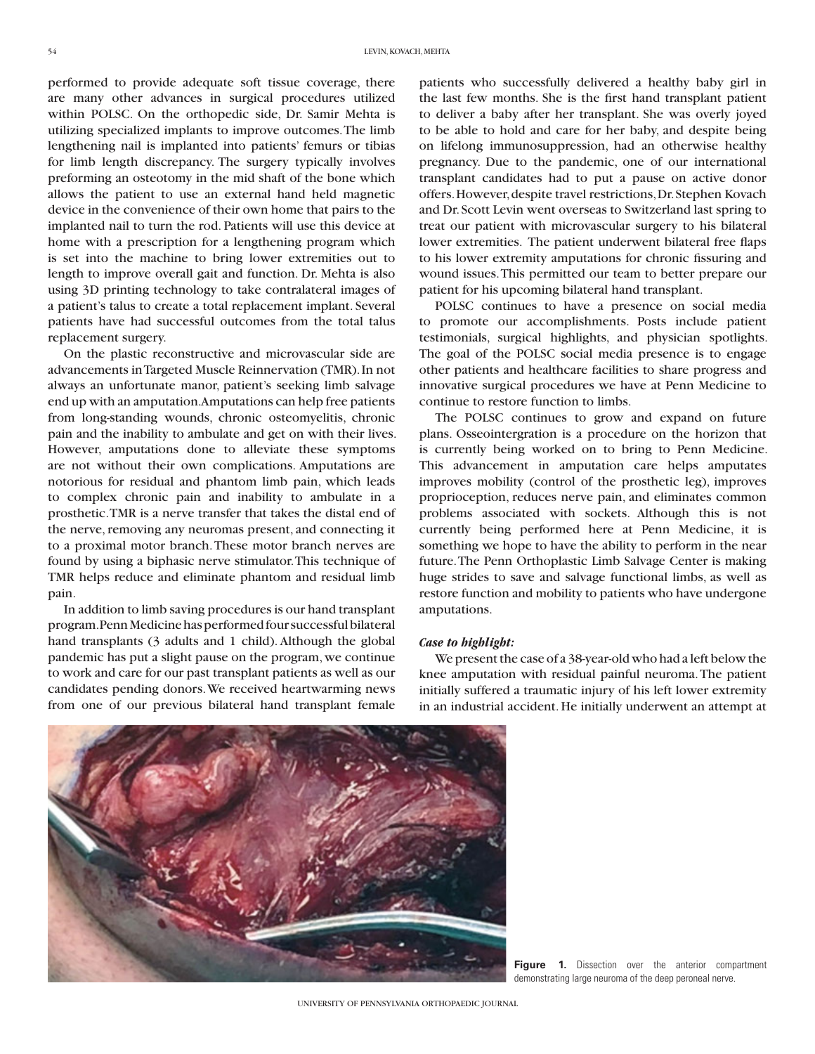performed to provide adequate soft tissue coverage, there are many other advances in surgical procedures utilized within POLSC. On the orthopedic side, Dr. Samir Mehta is utilizing specialized implants to improve outcomes. The limb lengthening nail is implanted into patients' femurs or tibias for limb length discrepancy. The surgery typically involves preforming an osteotomy in the mid shaft of the bone which allows the patient to use an external hand held magnetic device in the convenience of their own home that pairs to the implanted nail to turn the rod. Patients will use this device at home with a prescription for a lengthening program which is set into the machine to bring lower extremities out to length to improve overall gait and function. Dr. Mehta is also using 3D printing technology to take contralateral images of a patient's talus to create a total replacement implant. Several patients have had successful outcomes from the total talus replacement surgery.

On the plastic reconstructive and microvascular side are advancements in Targeted Muscle Reinnervation (TMR). In not always an unfortunate manor, patient's seeking limb salvage end up with an amputation. Amputations can help free patients from long-standing wounds, chronic osteomyelitis, chronic pain and the inability to ambulate and get on with their lives. However, amputations done to alleviate these symptoms are not without their own complications. Amputations are notorious for residual and phantom limb pain, which leads to complex chronic pain and inability to ambulate in a prosthetic. TMR is a nerve transfer that takes the distal end of the nerve, removing any neuromas present, and connecting it to a proximal motor branch. These motor branch nerves are found by using a biphasic nerve stimulator. This technique of TMR helps reduce and eliminate phantom and residual limb pain.

In addition to limb saving procedures is our hand transplant program. Penn Medicine has performed four successful bilateral hand transplants (3 adults and 1 child). Although the global pandemic has put a slight pause on the program, we continue to work and care for our past transplant patients as well as our candidates pending donors. We received heartwarming news from one of our previous bilateral hand transplant female

patients who successfully delivered a healthy baby girl in the last few months. She is the first hand transplant patient to deliver a baby after her transplant. She was overly joyed to be able to hold and care for her baby, and despite being on lifelong immunosuppression, had an otherwise healthy pregnancy. Due to the pandemic, one of our international transplant candidates had to put a pause on active donor offers. However, despite travel restrictions, Dr. Stephen Kovach and Dr. Scott Levin went overseas to Switzerland last spring to treat our patient with microvascular surgery to his bilateral lower extremities. The patient underwent bilateral free flaps to his lower extremity amputations for chronic fissuring and wound issues. This permitted our team to better prepare our patient for his upcoming bilateral hand transplant.

POLSC continues to have a presence on social media to promote our accomplishments. Posts include patient testimonials, surgical highlights, and physician spotlights. The goal of the POLSC social media presence is to engage other patients and healthcare facilities to share progress and innovative surgical procedures we have at Penn Medicine to continue to restore function to limbs.

The POLSC continues to grow and expand on future plans. Osseointergration is a procedure on the horizon that is currently being worked on to bring to Penn Medicine. This advancement in amputation care helps amputates improves mobility (control of the prosthetic leg), improves proprioception, reduces nerve pain, and eliminates common problems associated with sockets. Although this is not currently being performed here at Penn Medicine, it is something we hope to have the ability to perform in the near future. The Penn Orthoplastic Limb Salvage Center is making huge strides to save and salvage functional limbs, as well as restore function and mobility to patients who have undergone amputations.

## *Case to highlight:*

We present the case of a 38-year-old who had a left below the knee amputation with residual painful neuroma. The patient initially suffered a traumatic injury of his left lower extremity in an industrial accident. He initially underwent an attempt at

Figure 1. Dissection over the anterior compartment demonstrating large neuroma of the deep peroneal nerve.